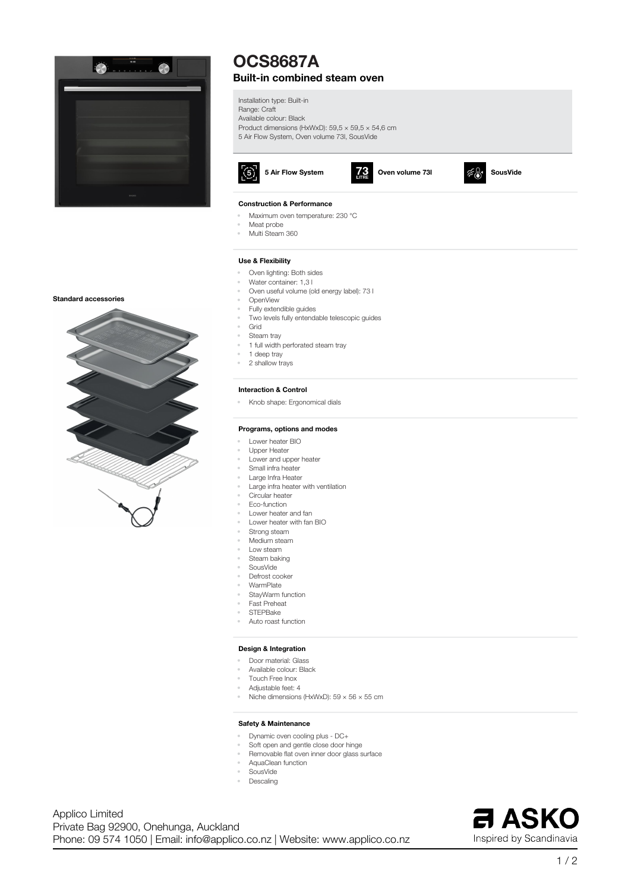

# **OCS8687A Built-in combined steam oven**

**Installation type: Built-in Range: Craft Available colour: Black Product dimensions (HxWxD): 59,5 × 59,5 × 54,6 cm 5 Air Flow System, Oven volume 73l, SousVide**





## **Construction & Performance**

**• Maximum oven temperature: 230 °C**

- **• Meat probe**
- **• Multi Steam 360**

### **Use & Flexibility**

- **• Oven lighting: Both sides • Water container: 1,3 l**
- **• Oven useful volume (old energy label): 73 l**
- **• OpenView**
- **• Fully extendible guides**
- **• Two levels fully entendable telescopic guides**
- **• Grid**
- **• Steam tray**
- **• 1 full width perforated steam tray**
- **• 1 deep tray**
- **• 2 shallow trays**

#### **Interaction & Control**

**• Knob shape: Ergonomical dials**

#### **Programs, options and modes**

- **• Lower heater BIO**
- **• Upper Heater**
- **• Lower and upper heater**
- **• Small infra heater**
- **• Large Infra Heater**
- **• Large infra heater with ventilation**
- **• Circular heater**
- **• Eco-function**
- **• Lower heater and fan**
- **• Lower heater with fan BIO**
- **• Strong steam**
- **• Medium steam**
- **• Low steam • Steam baking**
- **• SousVide**
- **• Defrost cooker**
- **• WarmPlate**
- **• StayWarm function**
- **• Fast Preheat**
- **• STEPBake**
- **• Auto roast function**

## **Design & Integration**

- **• Door material: Glass**
- **• Available colour: Black**
- **• Touch Free Inox**
- **• Adjustable feet: 4**
	- **• Niche dimensions (HxWxD): 59 × 56 × 55 cm**

## **Safety & Maintenance**

- **• Dynamic oven cooling plus - DC+**
- **• Soft open and gentle close door hinge**
- **• Removable flat oven inner door glass surface**
- **• AquaClean function**
- **• SousVide**
- **• Descaling**